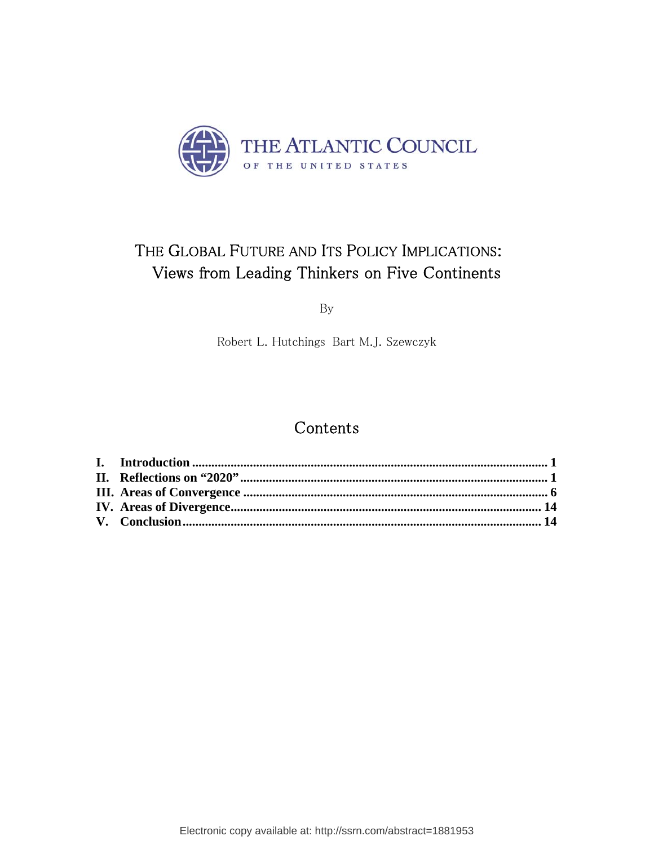

# THE GLOBAL FUTURE AND ITS POLICY IMPLICATIONS: Views from Leading Thinkers on Five Continents

By

Robert L. Hutchings Bart M.J. Szewczyk

# Contents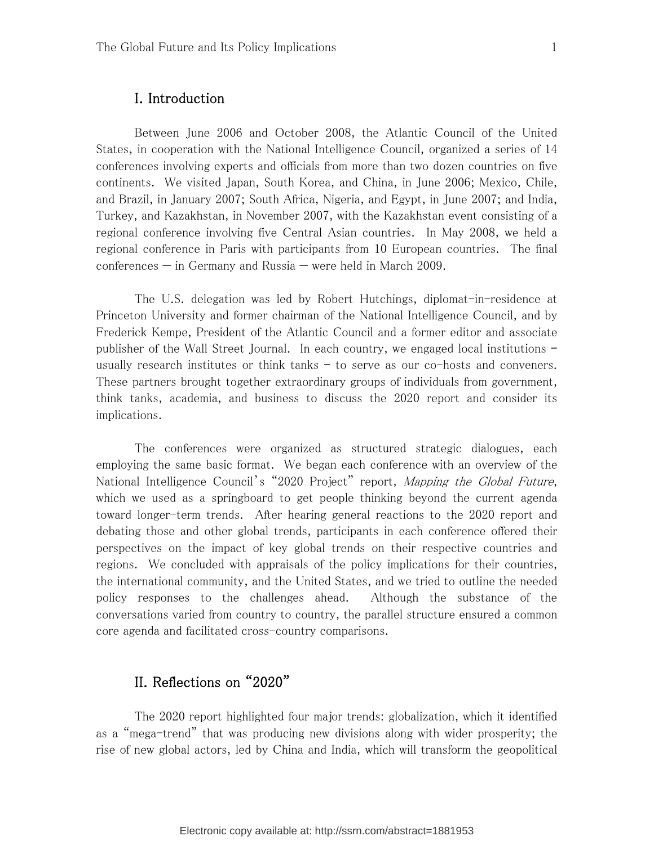Between June 2006 and October 2008, the Atlantic Council of the United States, in cooperation with the National Intelligence Council, organized a series of 14 conferences involving experts and officials from more than two dozen countries on five continents. We visited Japan, South Korea, and China, in June 2006; Mexico, Chile, and Brazil, in January 2007; South Africa, Nigeria, and Egypt, in June 2007; and India, Turkey, and Kazakhstan, in November 2007, with the Kazakhstan event consisting of a regional conference involving five Central Asian countries. In May 2008, we held a regional conference in Paris with participants from 10 European countries. The final conferences — in Germany and Russia — were held in March 2009.

The U.S. delegation was led by Robert Hutchings, diplomat-in-residence at Princeton University and former chairman of the National Intelligence Council, and by Frederick Kempe, President of the Atlantic Council and a former editor and associate publisher of the Wall Street Journal. In each country, we engaged local institutions – usually research institutes or think tanks – to serve as our co-hosts and conveners. These partners brought together extraordinary groups of individuals from government, think tanks, academia, and business to discuss the 2020 report and consider its implications.

The conferences were organized as structured strategic dialogues, each employing the same basic format. We began each conference with an overview of the National Intelligence Council's "2020 Project" report, *Mapping the Global Future*, which we used as a springboard to get people thinking beyond the current agenda toward longer-term trends. After hearing general reactions to the 2020 report and debating those and other global trends, participants in each conference offered their perspectives on the impact of key global trends on their respective countries and regions. We concluded with appraisals of the policy implications for their countries, the international community, and the United States, and we tried to outline the needed policy responses to the challenges ahead. Although the substance of the conversations varied from country to country, the parallel structure ensured a common core agenda and facilitated cross-country comparisons.

## II. Reflections on "2020"

The 2020 report highlighted four major trends: globalization, which it identified as a "mega-trend" that was producing new divisions along with wider prosperity; the rise of new global actors, led by China and India, which will transform the geopolitical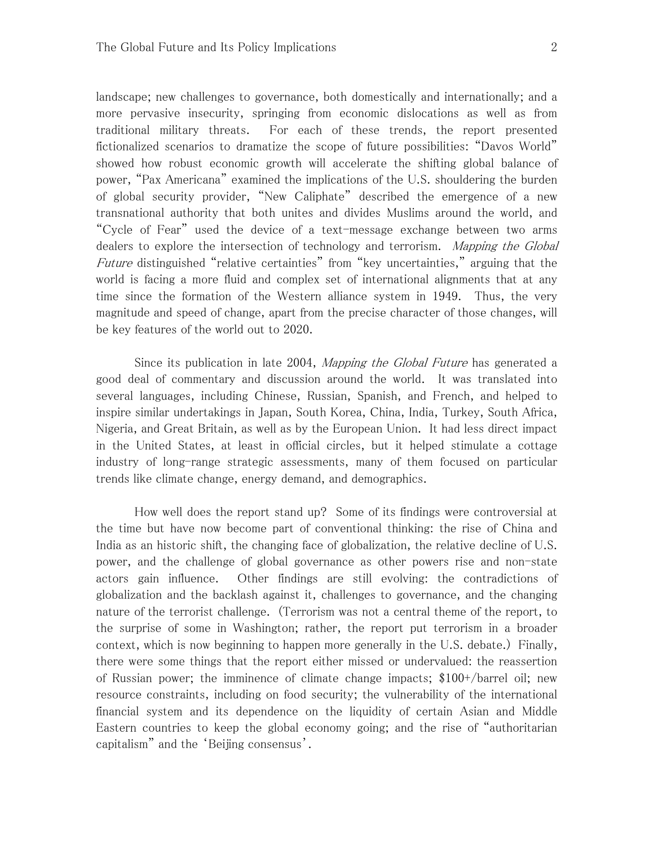landscape; new challenges to governance, both domestically and internationally; and a more pervasive insecurity, springing from economic dislocations as well as from traditional military threats. For each of these trends, the report presented fictionalized scenarios to dramatize the scope of future possibilities: "Davos World" showed how robust economic growth will accelerate the shifting global balance of power, "Pax Americana" examined the implications of the U.S. shouldering the burden of global security provider, "New Caliphate" described the emergence of a new transnational authority that both unites and divides Muslims around the world, and "Cycle of Fear" used the device of a text-message exchange between two arms dealers to explore the intersection of technology and terrorism. Mapping the Global Future distinguished "relative certainties" from "key uncertainties," arguing that the world is facing a more fluid and complex set of international alignments that at any time since the formation of the Western alliance system in 1949. Thus, the very magnitude and speed of change, apart from the precise character of those changes, will be key features of the world out to 2020.

Since its publication in late 2004, *Mapping the Global Future* has generated a good deal of commentary and discussion around the world. It was translated into several languages, including Chinese, Russian, Spanish, and French, and helped to inspire similar undertakings in Japan, South Korea, China, India, Turkey, South Africa, Nigeria, and Great Britain, as well as by the European Union. It had less direct impact in the United States, at least in official circles, but it helped stimulate a cottage industry of long-range strategic assessments, many of them focused on particular trends like climate change, energy demand, and demographics.

How well does the report stand up? Some of its findings were controversial at the time but have now become part of conventional thinking: the rise of China and India as an historic shift, the changing face of globalization, the relative decline of U.S. power, and the challenge of global governance as other powers rise and non-state actors gain influence. Other findings are still evolving: the contradictions of globalization and the backlash against it, challenges to governance, and the changing nature of the terrorist challenge. (Terrorism was not a central theme of the report, to the surprise of some in Washington; rather, the report put terrorism in a broader context, which is now beginning to happen more generally in the U.S. debate.) Finally, there were some things that the report either missed or undervalued: the reassertion of Russian power; the imminence of climate change impacts; \$100+/barrel oil; new resource constraints, including on food security; the vulnerability of the international financial system and its dependence on the liquidity of certain Asian and Middle Eastern countries to keep the global economy going; and the rise of "authoritarian capitalism" and the 'Beijing consensus'.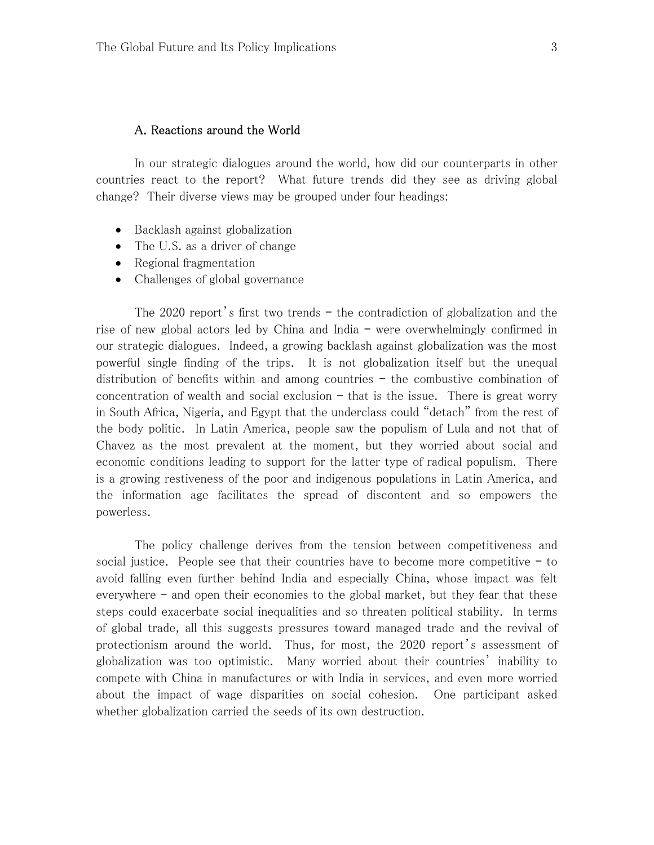### A. Reactions around the World

In our strategic dialogues around the world, how did our counterparts in other countries react to the report? What future trends did they see as driving global change? Their diverse views may be grouped under four headings:

- Backlash against globalization
- The U.S. as a driver of change
- Regional fragmentation
- Challenges of global governance

The 2020 report's first two trends – the contradiction of globalization and the rise of new global actors led by China and India – were overwhelmingly confirmed in our strategic dialogues. Indeed, a growing backlash against globalization was the most powerful single finding of the trips. It is not globalization itself but the unequal distribution of benefits within and among countries – the combustive combination of concentration of wealth and social exclusion  $-$  that is the issue. There is great worry in South Africa, Nigeria, and Egypt that the underclass could "detach" from the rest of the body politic. In Latin America, people saw the populism of Lula and not that of Chavez as the most prevalent at the moment, but they worried about social and economic conditions leading to support for the latter type of radical populism. There is a growing restiveness of the poor and indigenous populations in Latin America, and the information age facilitates the spread of discontent and so empowers the powerless.

The policy challenge derives from the tension between competitiveness and social justice. People see that their countries have to become more competitive – to avoid falling even further behind India and especially China, whose impact was felt everywhere – and open their economies to the global market, but they fear that these steps could exacerbate social inequalities and so threaten political stability. In terms of global trade, all this suggests pressures toward managed trade and the revival of protectionism around the world. Thus, for most, the 2020 report's assessment of globalization was too optimistic. Many worried about their countries' inability to compete with China in manufactures or with India in services, and even more worried about the impact of wage disparities on social cohesion. One participant asked whether globalization carried the seeds of its own destruction.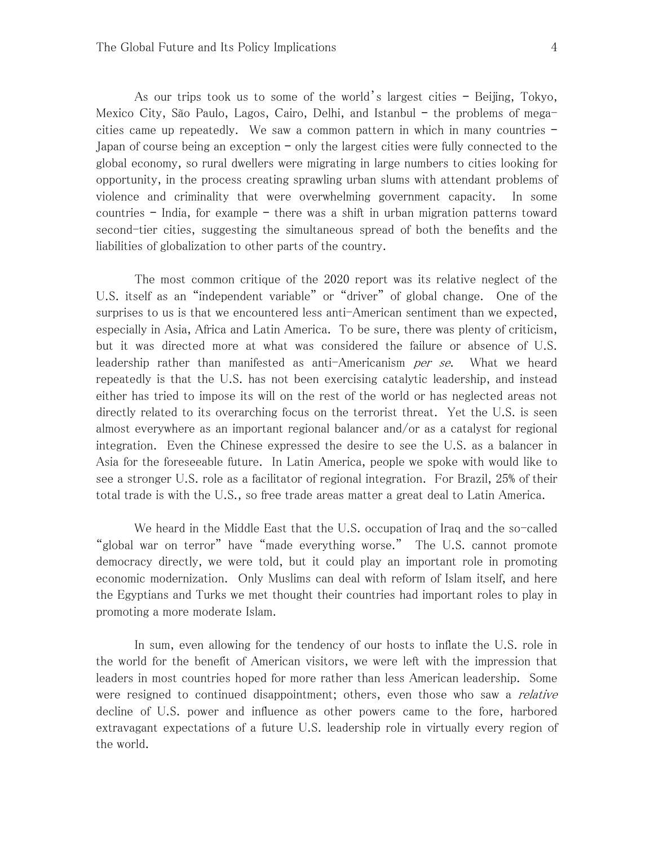As our trips took us to some of the world's largest cities – Beijing, Tokyo, Mexico City, São Paulo, Lagos, Cairo, Delhi, and Istanbul – the problems of megacities came up repeatedly. We saw a common pattern in which in many countries – Japan of course being an exception – only the largest cities were fully connected to the global economy, so rural dwellers were migrating in large numbers to cities looking for opportunity, in the process creating sprawling urban slums with attendant problems of violence and criminality that were overwhelming government capacity. In some countries – India, for example – there was a shift in urban migration patterns toward second-tier cities, suggesting the simultaneous spread of both the benefits and the liabilities of globalization to other parts of the country.

The most common critique of the 2020 report was its relative neglect of the U.S. itself as an "independent variable" or "driver" of global change. One of the surprises to us is that we encountered less anti-American sentiment than we expected, especially in Asia, Africa and Latin America. To be sure, there was plenty of criticism, but it was directed more at what was considered the failure or absence of U.S. leadership rather than manifested as anti-Americanism *per se*. What we heard repeatedly is that the U.S. has not been exercising catalytic leadership, and instead either has tried to impose its will on the rest of the world or has neglected areas not directly related to its overarching focus on the terrorist threat. Yet the U.S. is seen almost everywhere as an important regional balancer and/or as a catalyst for regional integration. Even the Chinese expressed the desire to see the U.S. as a balancer in Asia for the foreseeable future. In Latin America, people we spoke with would like to see a stronger U.S. role as a facilitator of regional integration. For Brazil, 25% of their total trade is with the U.S., so free trade areas matter a great deal to Latin America.

We heard in the Middle East that the U.S. occupation of Iraq and the so-called "global war on terror" have "made everything worse." The U.S. cannot promote democracy directly, we were told, but it could play an important role in promoting economic modernization. Only Muslims can deal with reform of Islam itself, and here the Egyptians and Turks we met thought their countries had important roles to play in promoting a more moderate Islam.

In sum, even allowing for the tendency of our hosts to inflate the U.S. role in the world for the benefit of American visitors, we were left with the impression that leaders in most countries hoped for more rather than less American leadership. Some were resigned to continued disappointment; others, even those who saw a *relative* decline of U.S. power and influence as other powers came to the fore, harbored extravagant expectations of a future U.S. leadership role in virtually every region of the world.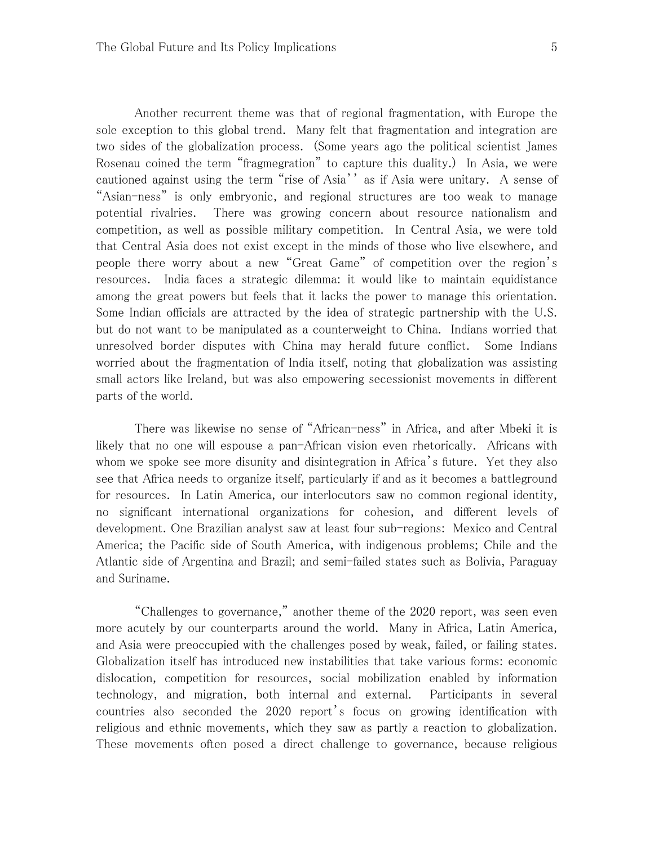Another recurrent theme was that of regional fragmentation, with Europe the sole exception to this global trend. Many felt that fragmentation and integration are two sides of the globalization process. (Some years ago the political scientist James Rosenau coined the term "fragmegration" to capture this duality.) In Asia, we were cautioned against using the term "rise of Asia'' as if Asia were unitary. A sense of "Asian-ness" is only embryonic, and regional structures are too weak to manage potential rivalries. There was growing concern about resource nationalism and competition, as well as possible military competition. In Central Asia, we were told that Central Asia does not exist except in the minds of those who live elsewhere, and people there worry about a new "Great Game" of competition over the region's resources. India faces a strategic dilemma: it would like to maintain equidistance among the great powers but feels that it lacks the power to manage this orientation. Some Indian officials are attracted by the idea of strategic partnership with the U.S. but do not want to be manipulated as a counterweight to China. Indians worried that unresolved border disputes with China may herald future conflict. Some Indians worried about the fragmentation of India itself, noting that globalization was assisting small actors like Ireland, but was also empowering secessionist movements in different parts of the world.

There was likewise no sense of "African-ness" in Africa, and after Mbeki it is likely that no one will espouse a pan-African vision even rhetorically. Africans with whom we spoke see more disunity and disintegration in Africa's future. Yet they also see that Africa needs to organize itself, particularly if and as it becomes a battleground for resources. In Latin America, our interlocutors saw no common regional identity, no significant international organizations for cohesion, and different levels of development. One Brazilian analyst saw at least four sub-regions: Mexico and Central America; the Pacific side of South America, with indigenous problems; Chile and the Atlantic side of Argentina and Brazil; and semi-failed states such as Bolivia, Paraguay and Suriname.

"Challenges to governance," another theme of the 2020 report, was seen even more acutely by our counterparts around the world. Many in Africa, Latin America, and Asia were preoccupied with the challenges posed by weak, failed, or failing states. Globalization itself has introduced new instabilities that take various forms: economic dislocation, competition for resources, social mobilization enabled by information technology, and migration, both internal and external. Participants in several countries also seconded the 2020 report's focus on growing identification with religious and ethnic movements, which they saw as partly a reaction to globalization. These movements often posed a direct challenge to governance, because religious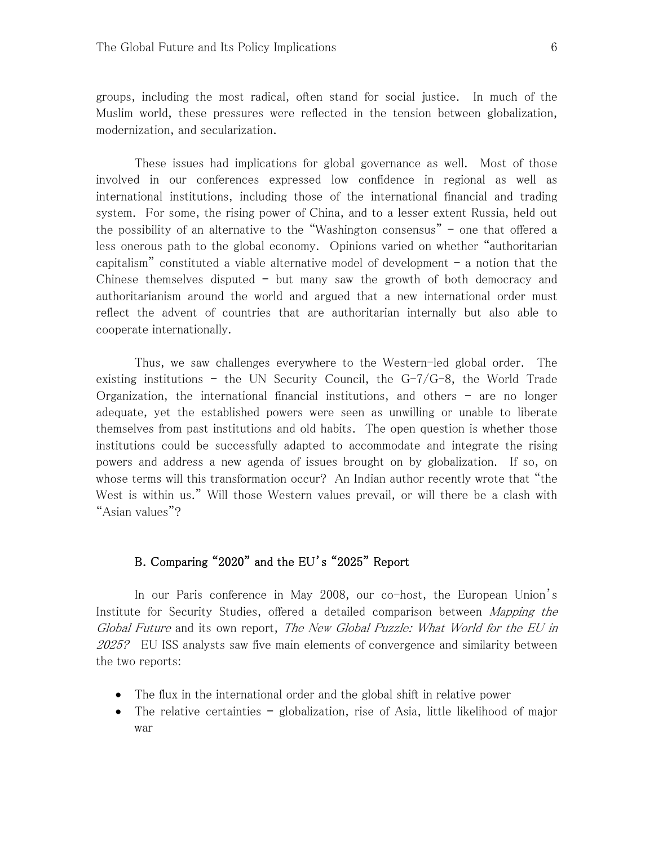groups, including the most radical, often stand for social justice. In much of the Muslim world, these pressures were reflected in the tension between globalization, modernization, and secularization.

These issues had implications for global governance as well. Most of those involved in our conferences expressed low confidence in regional as well as international institutions, including those of the international financial and trading system. For some, the rising power of China, and to a lesser extent Russia, held out the possibility of an alternative to the "Washington consensus" – one that offered a less onerous path to the global economy. Opinions varied on whether "authoritarian capitalism" constituted a viable alternative model of development – a notion that the Chinese themselves disputed – but many saw the growth of both democracy and authoritarianism around the world and argued that a new international order must reflect the advent of countries that are authoritarian internally but also able to cooperate internationally.

Thus, we saw challenges everywhere to the Western-led global order. The existing institutions – the UN Security Council, the  $G-7/G-8$ , the World Trade Organization, the international financial institutions, and others – are no longer adequate, yet the established powers were seen as unwilling or unable to liberate themselves from past institutions and old habits. The open question is whether those institutions could be successfully adapted to accommodate and integrate the rising powers and address a new agenda of issues brought on by globalization. If so, on whose terms will this transformation occur? An Indian author recently wrote that "the West is within us." Will those Western values prevail, or will there be a clash with "Asian values"?

## B. Comparing "2020" and the EU's "2025" Report

In our Paris conference in May 2008, our co-host, the European Union's Institute for Security Studies, offered a detailed comparison between *Mapping the* Global Future and its own report, The New Global Puzzle: What World for the EU in 2025? EU ISS analysts saw five main elements of convergence and similarity between the two reports:

- The flux in the international order and the global shift in relative power
- The relative certainties globalization, rise of Asia, little likelihood of major war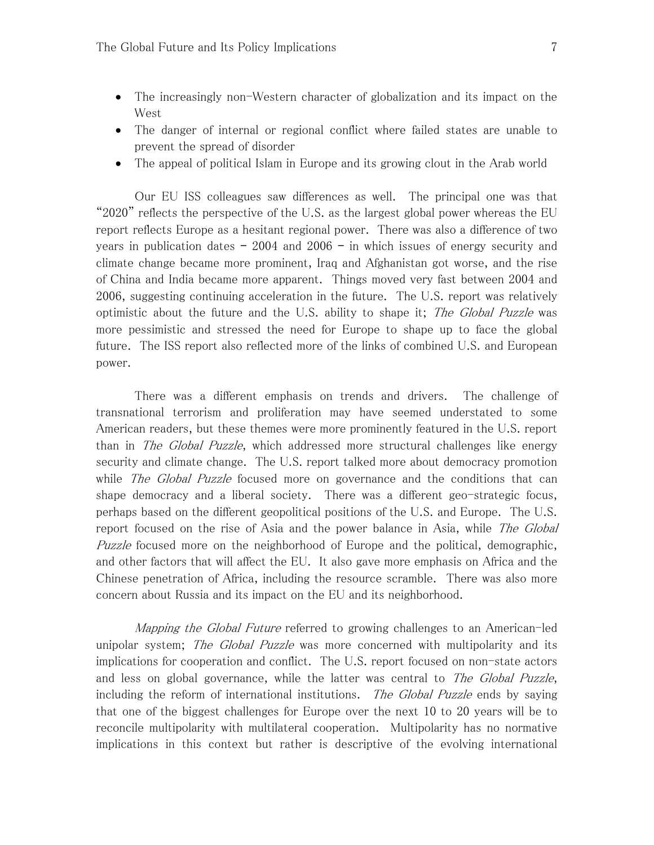- The increasingly non-Western character of globalization and its impact on the West
- The danger of internal or regional conflict where failed states are unable to prevent the spread of disorder
- The appeal of political Islam in Europe and its growing clout in the Arab world

Our EU ISS colleagues saw differences as well. The principal one was that "2020" reflects the perspective of the U.S. as the largest global power whereas the EU report reflects Europe as a hesitant regional power. There was also a difference of two years in publication dates – 2004 and 2006 – in which issues of energy security and climate change became more prominent, Iraq and Afghanistan got worse, and the rise of China and India became more apparent. Things moved very fast between 2004 and 2006, suggesting continuing acceleration in the future. The U.S. report was relatively optimistic about the future and the U.S. ability to shape it; The Global Puzzle was more pessimistic and stressed the need for Europe to shape up to face the global future. The ISS report also reflected more of the links of combined U.S. and European power.

There was a different emphasis on trends and drivers. The challenge of transnational terrorism and proliferation may have seemed understated to some American readers, but these themes were more prominently featured in the U.S. report than in The Global Puzzle, which addressed more structural challenges like energy security and climate change. The U.S. report talked more about democracy promotion while *The Global Puzzle* focused more on governance and the conditions that can shape democracy and a liberal society. There was a different geo-strategic focus, perhaps based on the different geopolitical positions of the U.S. and Europe. The U.S. report focused on the rise of Asia and the power balance in Asia, while *The Global* Puzzle focused more on the neighborhood of Europe and the political, demographic, and other factors that will affect the EU. It also gave more emphasis on Africa and the Chinese penetration of Africa, including the resource scramble. There was also more concern about Russia and its impact on the EU and its neighborhood.

Mapping the Global Future referred to growing challenges to an American-led unipolar system; The Global Puzzle was more concerned with multipolarity and its implications for cooperation and conflict. The U.S. report focused on non-state actors and less on global governance, while the latter was central to *The Global Puzzle*, including the reform of international institutions. The Global Puzzle ends by saying that one of the biggest challenges for Europe over the next 10 to 20 years will be to reconcile multipolarity with multilateral cooperation. Multipolarity has no normative implications in this context but rather is descriptive of the evolving international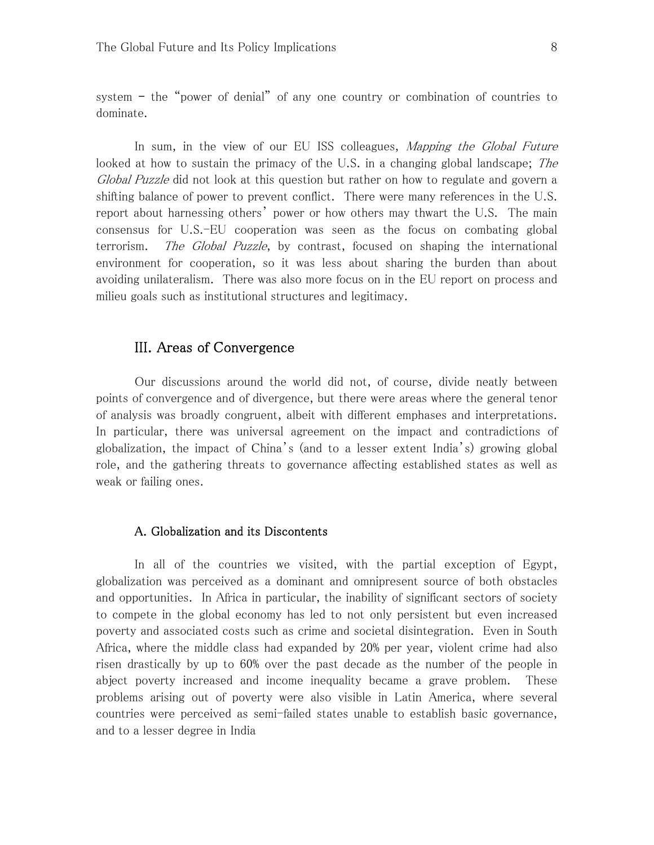system – the "power of denial" of any one country or combination of countries to dominate.

In sum, in the view of our EU ISS colleagues, *Mapping the Global Future* looked at how to sustain the primacy of the U.S. in a changing global landscape; The Global Puzzle did not look at this question but rather on how to regulate and govern a shifting balance of power to prevent conflict. There were many references in the U.S. report about harnessing others' power or how others may thwart the U.S. The main consensus for U.S.-EU cooperation was seen as the focus on combating global terrorism. The Global Puzzle, by contrast, focused on shaping the international environment for cooperation, so it was less about sharing the burden than about avoiding unilateralism. There was also more focus on in the EU report on process and milieu goals such as institutional structures and legitimacy.

## III. Areas of Convergence

Our discussions around the world did not, of course, divide neatly between points of convergence and of divergence, but there were areas where the general tenor of analysis was broadly congruent, albeit with different emphases and interpretations. In particular, there was universal agreement on the impact and contradictions of globalization, the impact of China's (and to a lesser extent India's) growing global role, and the gathering threats to governance affecting established states as well as weak or failing ones.

#### A. Globalization and its Discontents

In all of the countries we visited, with the partial exception of Egypt, globalization was perceived as a dominant and omnipresent source of both obstacles and opportunities. In Africa in particular, the inability of significant sectors of society to compete in the global economy has led to not only persistent but even increased poverty and associated costs such as crime and societal disintegration. Even in South Africa, where the middle class had expanded by 20% per year, violent crime had also risen drastically by up to 60% over the past decade as the number of the people in abject poverty increased and income inequality became a grave problem. These problems arising out of poverty were also visible in Latin America, where several countries were perceived as semi-failed states unable to establish basic governance, and to a lesser degree in India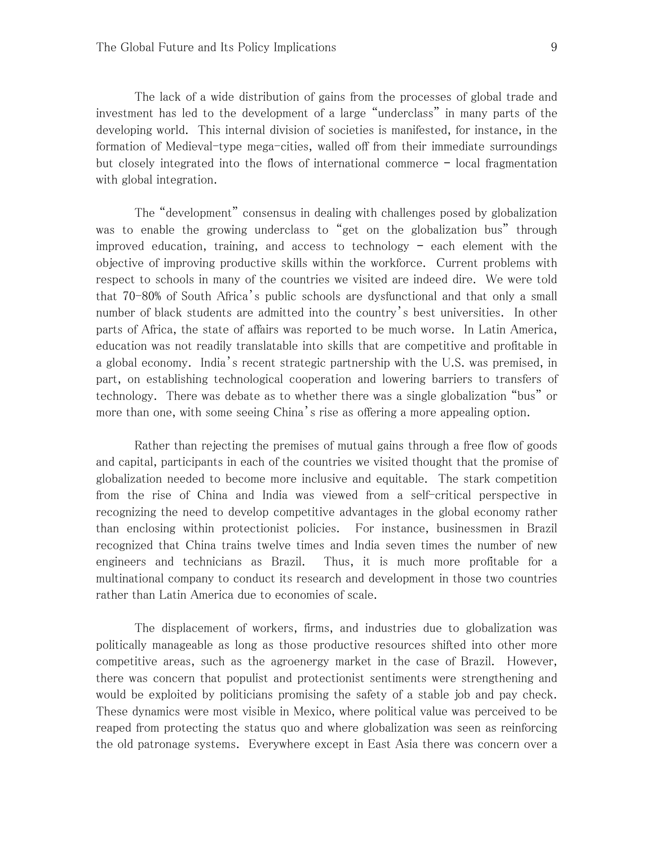The lack of a wide distribution of gains from the processes of global trade and investment has led to the development of a large "underclass" in many parts of the developing world. This internal division of societies is manifested, for instance, in the formation of Medieval-type mega-cities, walled off from their immediate surroundings but closely integrated into the flows of international commerce – local fragmentation with global integration.

The "development" consensus in dealing with challenges posed by globalization was to enable the growing underclass to "get on the globalization bus" through improved education, training, and access to technology – each element with the objective of improving productive skills within the workforce. Current problems with respect to schools in many of the countries we visited are indeed dire. We were told that 70-80% of South Africa's public schools are dysfunctional and that only a small number of black students are admitted into the country's best universities. In other parts of Africa, the state of affairs was reported to be much worse. In Latin America, education was not readily translatable into skills that are competitive and profitable in a global economy. India's recent strategic partnership with the U.S. was premised, in part, on establishing technological cooperation and lowering barriers to transfers of technology. There was debate as to whether there was a single globalization "bus" or more than one, with some seeing China's rise as offering a more appealing option.

Rather than rejecting the premises of mutual gains through a free flow of goods and capital, participants in each of the countries we visited thought that the promise of globalization needed to become more inclusive and equitable. The stark competition from the rise of China and India was viewed from a self-critical perspective in recognizing the need to develop competitive advantages in the global economy rather than enclosing within protectionist policies. For instance, businessmen in Brazil recognized that China trains twelve times and India seven times the number of new engineers and technicians as Brazil. Thus, it is much more profitable for a multinational company to conduct its research and development in those two countries rather than Latin America due to economies of scale.

The displacement of workers, firms, and industries due to globalization was politically manageable as long as those productive resources shifted into other more competitive areas, such as the agroenergy market in the case of Brazil. However, there was concern that populist and protectionist sentiments were strengthening and would be exploited by politicians promising the safety of a stable job and pay check. These dynamics were most visible in Mexico, where political value was perceived to be reaped from protecting the status quo and where globalization was seen as reinforcing the old patronage systems. Everywhere except in East Asia there was concern over a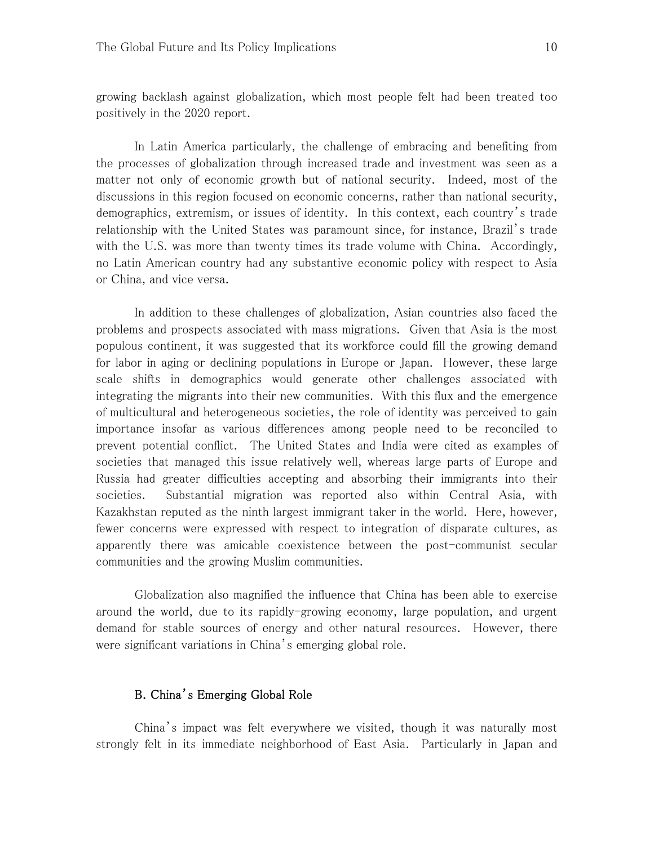growing backlash against globalization, which most people felt had been treated too positively in the 2020 report.

In Latin America particularly, the challenge of embracing and benefiting from the processes of globalization through increased trade and investment was seen as a matter not only of economic growth but of national security. Indeed, most of the discussions in this region focused on economic concerns, rather than national security, demographics, extremism, or issues of identity. In this context, each country's trade relationship with the United States was paramount since, for instance, Brazil's trade with the U.S. was more than twenty times its trade volume with China. Accordingly, no Latin American country had any substantive economic policy with respect to Asia or China, and vice versa.

In addition to these challenges of globalization, Asian countries also faced the problems and prospects associated with mass migrations. Given that Asia is the most populous continent, it was suggested that its workforce could fill the growing demand for labor in aging or declining populations in Europe or Japan. However, these large scale shifts in demographics would generate other challenges associated with integrating the migrants into their new communities. With this flux and the emergence of multicultural and heterogeneous societies, the role of identity was perceived to gain importance insofar as various differences among people need to be reconciled to prevent potential conflict. The United States and India were cited as examples of societies that managed this issue relatively well, whereas large parts of Europe and Russia had greater difficulties accepting and absorbing their immigrants into their societies. Substantial migration was reported also within Central Asia, with Kazakhstan reputed as the ninth largest immigrant taker in the world. Here, however, fewer concerns were expressed with respect to integration of disparate cultures, as apparently there was amicable coexistence between the post-communist secular communities and the growing Muslim communities.

Globalization also magnified the influence that China has been able to exercise around the world, due to its rapidly-growing economy, large population, and urgent demand for stable sources of energy and other natural resources. However, there were significant variations in China's emerging global role.

## B. China's Emerging Global Role

 China's impact was felt everywhere we visited, though it was naturally most strongly felt in its immediate neighborhood of East Asia. Particularly in Japan and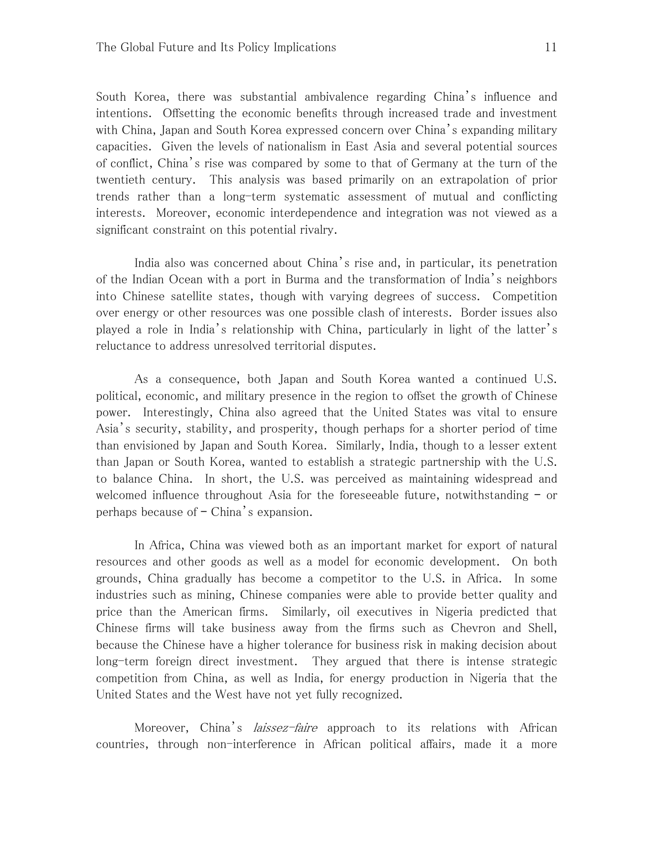South Korea, there was substantial ambivalence regarding China's influence and intentions. Offsetting the economic benefits through increased trade and investment with China, Japan and South Korea expressed concern over China's expanding military capacities. Given the levels of nationalism in East Asia and several potential sources of conflict, China's rise was compared by some to that of Germany at the turn of the twentieth century. This analysis was based primarily on an extrapolation of prior trends rather than a long-term systematic assessment of mutual and conflicting interests. Moreover, economic interdependence and integration was not viewed as a significant constraint on this potential rivalry.

 India also was concerned about China's rise and, in particular, its penetration of the Indian Ocean with a port in Burma and the transformation of India's neighbors into Chinese satellite states, though with varying degrees of success. Competition over energy or other resources was one possible clash of interests. Border issues also played a role in India's relationship with China, particularly in light of the latter's reluctance to address unresolved territorial disputes.

As a consequence, both Japan and South Korea wanted a continued U.S. political, economic, and military presence in the region to offset the growth of Chinese power. Interestingly, China also agreed that the United States was vital to ensure Asia's security, stability, and prosperity, though perhaps for a shorter period of time than envisioned by Japan and South Korea. Similarly, India, though to a lesser extent than Japan or South Korea, wanted to establish a strategic partnership with the U.S. to balance China. In short, the U.S. was perceived as maintaining widespread and welcomed influence throughout Asia for the foreseeable future, notwithstanding – or perhaps because of – China's expansion.

 In Africa, China was viewed both as an important market for export of natural resources and other goods as well as a model for economic development. On both grounds, China gradually has become a competitor to the U.S. in Africa. In some industries such as mining, Chinese companies were able to provide better quality and price than the American firms. Similarly, oil executives in Nigeria predicted that Chinese firms will take business away from the firms such as Chevron and Shell, because the Chinese have a higher tolerance for business risk in making decision about long-term foreign direct investment. They argued that there is intense strategic competition from China, as well as India, for energy production in Nigeria that the United States and the West have not yet fully recognized.

Moreover, China's *laissez-faire* approach to its relations with African countries, through non-interference in African political affairs, made it a more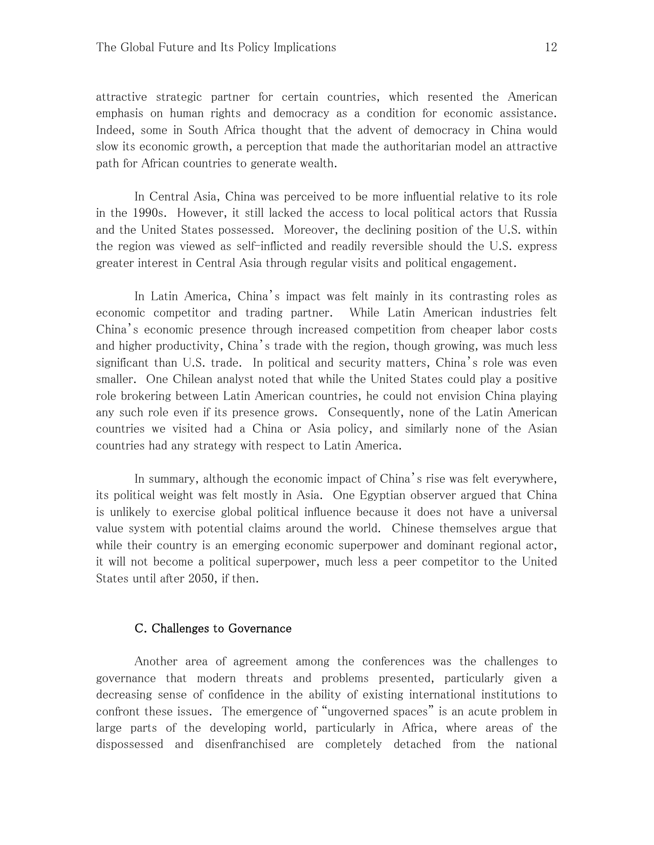attractive strategic partner for certain countries, which resented the American emphasis on human rights and democracy as a condition for economic assistance. Indeed, some in South Africa thought that the advent of democracy in China would slow its economic growth, a perception that made the authoritarian model an attractive path for African countries to generate wealth.

In Central Asia, China was perceived to be more influential relative to its role in the 1990s. However, it still lacked the access to local political actors that Russia and the United States possessed. Moreover, the declining position of the U.S. within the region was viewed as self-inflicted and readily reversible should the U.S. express greater interest in Central Asia through regular visits and political engagement.

In Latin America, China's impact was felt mainly in its contrasting roles as economic competitor and trading partner. While Latin American industries felt China's economic presence through increased competition from cheaper labor costs and higher productivity, China's trade with the region, though growing, was much less significant than U.S. trade. In political and security matters, China's role was even smaller. One Chilean analyst noted that while the United States could play a positive role brokering between Latin American countries, he could not envision China playing any such role even if its presence grows. Consequently, none of the Latin American countries we visited had a China or Asia policy, and similarly none of the Asian countries had any strategy with respect to Latin America.

In summary, although the economic impact of China's rise was felt everywhere, its political weight was felt mostly in Asia. One Egyptian observer argued that China is unlikely to exercise global political influence because it does not have a universal value system with potential claims around the world. Chinese themselves argue that while their country is an emerging economic superpower and dominant regional actor, it will not become a political superpower, much less a peer competitor to the United States until after 2050, if then.

#### C. Challenges to Governance

Another area of agreement among the conferences was the challenges to governance that modern threats and problems presented, particularly given a decreasing sense of confidence in the ability of existing international institutions to confront these issues. The emergence of "ungoverned spaces" is an acute problem in large parts of the developing world, particularly in Africa, where areas of the dispossessed and disenfranchised are completely detached from the national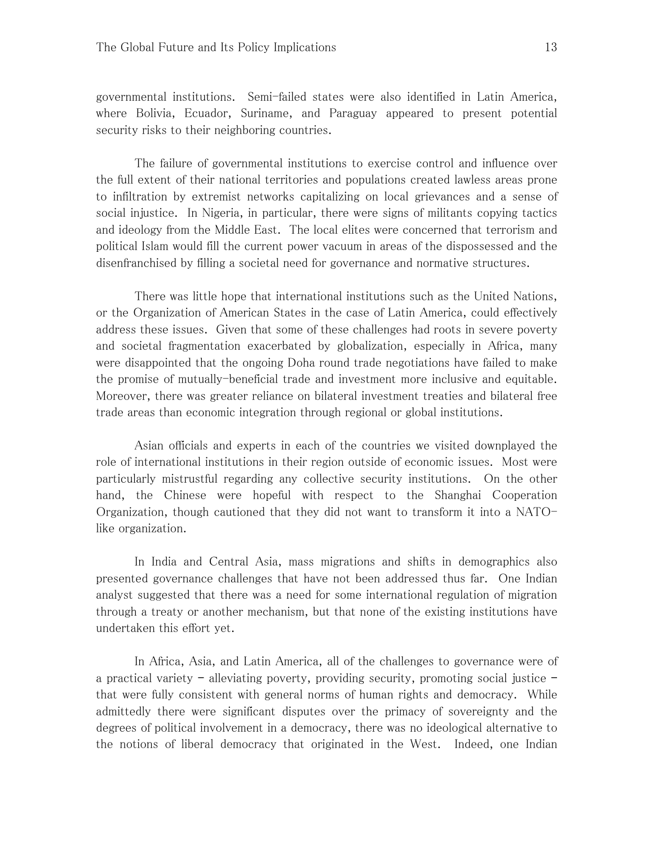governmental institutions. Semi-failed states were also identified in Latin America, where Bolivia, Ecuador, Suriname, and Paraguay appeared to present potential security risks to their neighboring countries.

The failure of governmental institutions to exercise control and influence over the full extent of their national territories and populations created lawless areas prone to infiltration by extremist networks capitalizing on local grievances and a sense of social injustice. In Nigeria, in particular, there were signs of militants copying tactics and ideology from the Middle East. The local elites were concerned that terrorism and political Islam would fill the current power vacuum in areas of the dispossessed and the disenfranchised by filling a societal need for governance and normative structures.

There was little hope that international institutions such as the United Nations, or the Organization of American States in the case of Latin America, could effectively address these issues. Given that some of these challenges had roots in severe poverty and societal fragmentation exacerbated by globalization, especially in Africa, many were disappointed that the ongoing Doha round trade negotiations have failed to make the promise of mutually-beneficial trade and investment more inclusive and equitable. Moreover, there was greater reliance on bilateral investment treaties and bilateral free trade areas than economic integration through regional or global institutions.

Asian officials and experts in each of the countries we visited downplayed the role of international institutions in their region outside of economic issues. Most were particularly mistrustful regarding any collective security institutions. On the other hand, the Chinese were hopeful with respect to the Shanghai Cooperation Organization, though cautioned that they did not want to transform it into a NATOlike organization.

In India and Central Asia, mass migrations and shifts in demographics also presented governance challenges that have not been addressed thus far. One Indian analyst suggested that there was a need for some international regulation of migration through a treaty or another mechanism, but that none of the existing institutions have undertaken this effort yet.

In Africa, Asia, and Latin America, all of the challenges to governance were of a practical variety – alleviating poverty, providing security, promoting social justice – that were fully consistent with general norms of human rights and democracy. While admittedly there were significant disputes over the primacy of sovereignty and the degrees of political involvement in a democracy, there was no ideological alternative to the notions of liberal democracy that originated in the West. Indeed, one Indian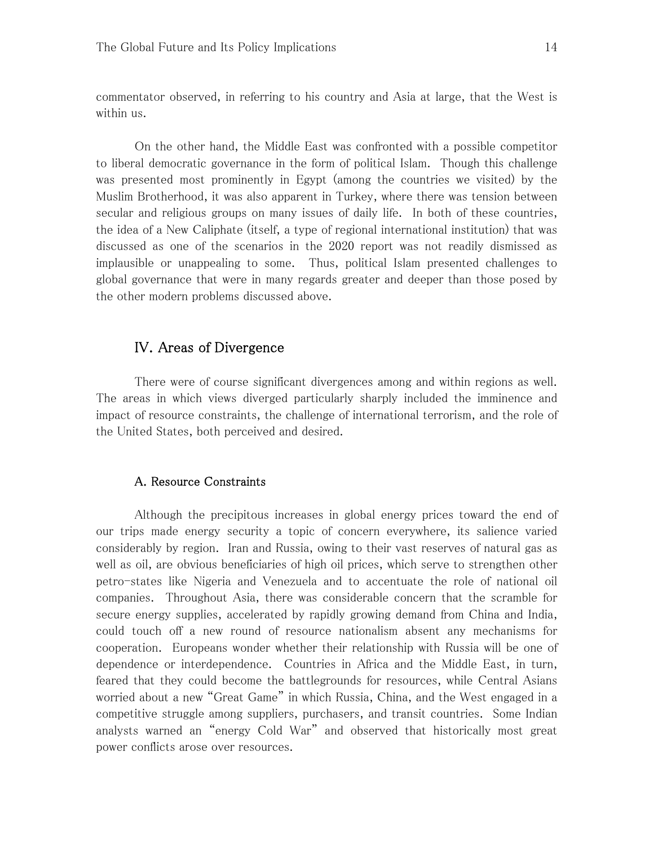commentator observed, in referring to his country and Asia at large, that the West is within us.

On the other hand, the Middle East was confronted with a possible competitor to liberal democratic governance in the form of political Islam. Though this challenge was presented most prominently in Egypt (among the countries we visited) by the Muslim Brotherhood, it was also apparent in Turkey, where there was tension between secular and religious groups on many issues of daily life. In both of these countries, the idea of a New Caliphate (itself, a type of regional international institution) that was discussed as one of the scenarios in the 2020 report was not readily dismissed as implausible or unappealing to some. Thus, political Islam presented challenges to global governance that were in many regards greater and deeper than those posed by the other modern problems discussed above.

## IV. Areas of Divergence

There were of course significant divergences among and within regions as well. The areas in which views diverged particularly sharply included the imminence and impact of resource constraints, the challenge of international terrorism, and the role of the United States, both perceived and desired.

#### A. Resource Constraints

Although the precipitous increases in global energy prices toward the end of our trips made energy security a topic of concern everywhere, its salience varied considerably by region. Iran and Russia, owing to their vast reserves of natural gas as well as oil, are obvious beneficiaries of high oil prices, which serve to strengthen other petro-states like Nigeria and Venezuela and to accentuate the role of national oil companies. Throughout Asia, there was considerable concern that the scramble for secure energy supplies, accelerated by rapidly growing demand from China and India, could touch off a new round of resource nationalism absent any mechanisms for cooperation. Europeans wonder whether their relationship with Russia will be one of dependence or interdependence. Countries in Africa and the Middle East, in turn, feared that they could become the battlegrounds for resources, while Central Asians worried about a new "Great Game" in which Russia, China, and the West engaged in a competitive struggle among suppliers, purchasers, and transit countries. Some Indian analysts warned an "energy Cold War" and observed that historically most great power conflicts arose over resources.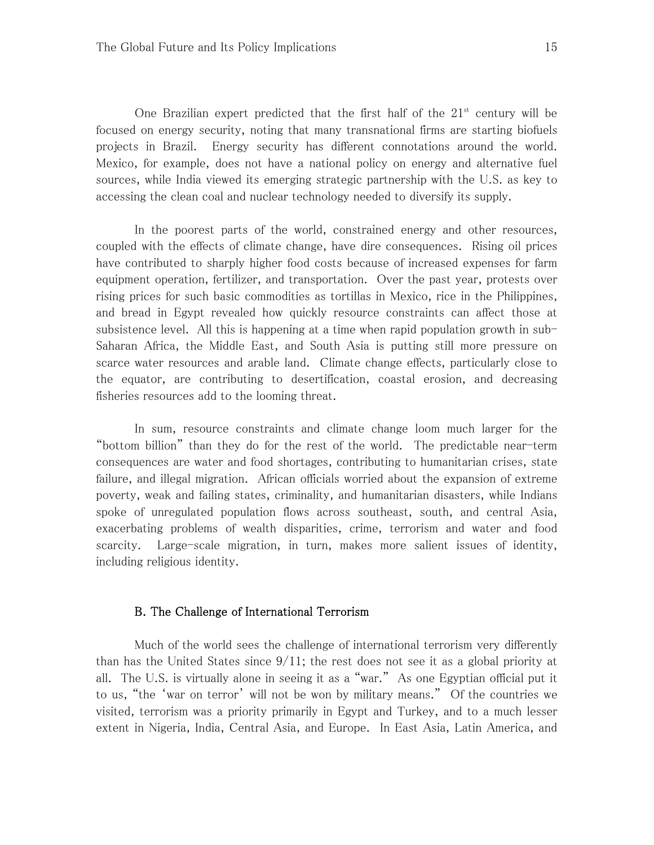One Brazilian expert predicted that the first half of the  $21<sup>st</sup>$  century will be focused on energy security, noting that many transnational firms are starting biofuels projects in Brazil. Energy security has different connotations around the world. Mexico, for example, does not have a national policy on energy and alternative fuel sources, while India viewed its emerging strategic partnership with the U.S. as key to accessing the clean coal and nuclear technology needed to diversify its supply.

In the poorest parts of the world, constrained energy and other resources, coupled with the effects of climate change, have dire consequences. Rising oil prices have contributed to sharply higher food costs because of increased expenses for farm equipment operation, fertilizer, and transportation. Over the past year, protests over rising prices for such basic commodities as tortillas in Mexico, rice in the Philippines, and bread in Egypt revealed how quickly resource constraints can affect those at subsistence level. All this is happening at a time when rapid population growth in sub-Saharan Africa, the Middle East, and South Asia is putting still more pressure on scarce water resources and arable land. Climate change effects, particularly close to the equator, are contributing to desertification, coastal erosion, and decreasing fisheries resources add to the looming threat.

In sum, resource constraints and climate change loom much larger for the "bottom billion" than they do for the rest of the world. The predictable near-term consequences are water and food shortages, contributing to humanitarian crises, state failure, and illegal migration. African officials worried about the expansion of extreme poverty, weak and failing states, criminality, and humanitarian disasters, while Indians spoke of unregulated population flows across southeast, south, and central Asia, exacerbating problems of wealth disparities, crime, terrorism and water and food scarcity. Large-scale migration, in turn, makes more salient issues of identity, including religious identity.

### B. The Challenge of International Terrorism

Much of the world sees the challenge of international terrorism very differently than has the United States since  $9/11$ ; the rest does not see it as a global priority at all. The U.S. is virtually alone in seeing it as a "war." As one Egyptian official put it to us, "the 'war on terror' will not be won by military means." Of the countries we visited, terrorism was a priority primarily in Egypt and Turkey, and to a much lesser extent in Nigeria, India, Central Asia, and Europe. In East Asia, Latin America, and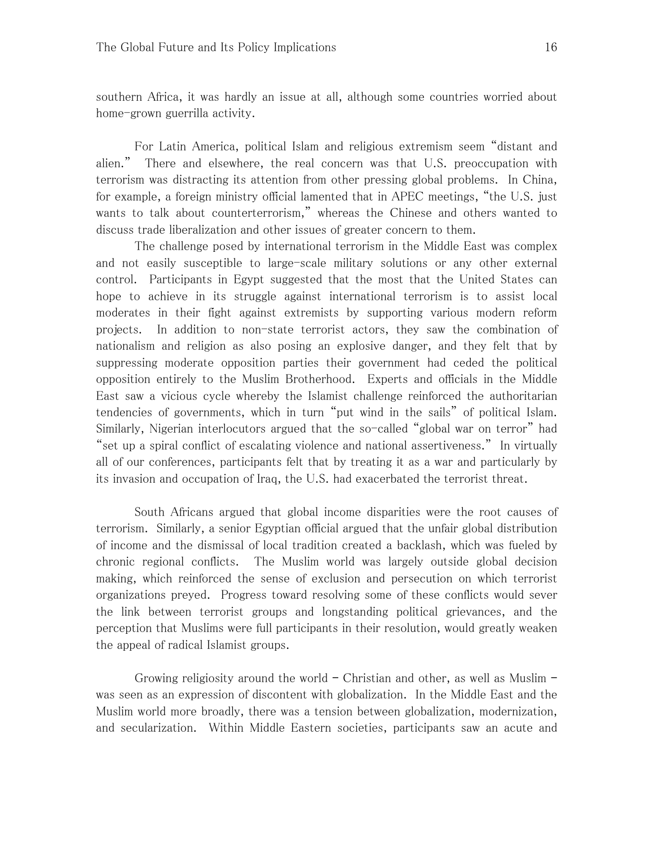southern Africa, it was hardly an issue at all, although some countries worried about home-grown guerrilla activity.

For Latin America, political Islam and religious extremism seem "distant and alien." There and elsewhere, the real concern was that U.S. preoccupation with terrorism was distracting its attention from other pressing global problems. In China, for example, a foreign ministry official lamented that in APEC meetings, "the U.S. just wants to talk about counterterrorism," whereas the Chinese and others wanted to discuss trade liberalization and other issues of greater concern to them.

The challenge posed by international terrorism in the Middle East was complex and not easily susceptible to large-scale military solutions or any other external control. Participants in Egypt suggested that the most that the United States can hope to achieve in its struggle against international terrorism is to assist local moderates in their fight against extremists by supporting various modern reform projects. In addition to non-state terrorist actors, they saw the combination of nationalism and religion as also posing an explosive danger, and they felt that by suppressing moderate opposition parties their government had ceded the political opposition entirely to the Muslim Brotherhood. Experts and officials in the Middle East saw a vicious cycle whereby the Islamist challenge reinforced the authoritarian tendencies of governments, which in turn "put wind in the sails" of political Islam. Similarly, Nigerian interlocutors argued that the so-called "global war on terror" had "set up a spiral conflict of escalating violence and national assertiveness." In virtually all of our conferences, participants felt that by treating it as a war and particularly by its invasion and occupation of Iraq, the U.S. had exacerbated the terrorist threat.

South Africans argued that global income disparities were the root causes of terrorism. Similarly, a senior Egyptian official argued that the unfair global distribution of income and the dismissal of local tradition created a backlash, which was fueled by chronic regional conflicts. The Muslim world was largely outside global decision making, which reinforced the sense of exclusion and persecution on which terrorist organizations preyed. Progress toward resolving some of these conflicts would sever the link between terrorist groups and longstanding political grievances, and the perception that Muslims were full participants in their resolution, would greatly weaken the appeal of radical Islamist groups.

Growing religiosity around the world – Christian and other, as well as Muslim – was seen as an expression of discontent with globalization. In the Middle East and the Muslim world more broadly, there was a tension between globalization, modernization, and secularization. Within Middle Eastern societies, participants saw an acute and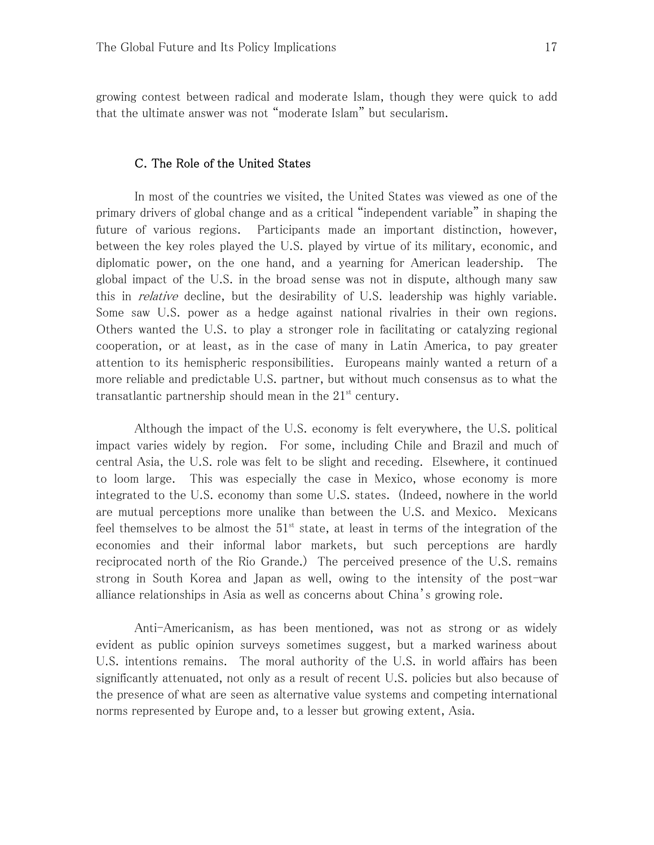growing contest between radical and moderate Islam, though they were quick to add that the ultimate answer was not "moderate Islam" but secularism.

### C. The Role of the United States

In most of the countries we visited, the United States was viewed as one of the primary drivers of global change and as a critical "independent variable" in shaping the future of various regions. Participants made an important distinction, however, between the key roles played the U.S. played by virtue of its military, economic, and diplomatic power, on the one hand, and a yearning for American leadership. The global impact of the U.S. in the broad sense was not in dispute, although many saw this in *relative* decline, but the desirability of U.S. leadership was highly variable. Some saw U.S. power as a hedge against national rivalries in their own regions. Others wanted the U.S. to play a stronger role in facilitating or catalyzing regional cooperation, or at least, as in the case of many in Latin America, to pay greater attention to its hemispheric responsibilities. Europeans mainly wanted a return of a more reliable and predictable U.S. partner, but without much consensus as to what the transatlantic partnership should mean in the  $21<sup>st</sup>$  century.

Although the impact of the U.S. economy is felt everywhere, the U.S. political impact varies widely by region. For some, including Chile and Brazil and much of central Asia, the U.S. role was felt to be slight and receding. Elsewhere, it continued to loom large. This was especially the case in Mexico, whose economy is more integrated to the U.S. economy than some U.S. states. (Indeed, nowhere in the world are mutual perceptions more unalike than between the U.S. and Mexico. Mexicans feel themselves to be almost the  $51<sup>st</sup>$  state, at least in terms of the integration of the economies and their informal labor markets, but such perceptions are hardly reciprocated north of the Rio Grande.) The perceived presence of the U.S. remains strong in South Korea and Japan as well, owing to the intensity of the post-war alliance relationships in Asia as well as concerns about China's growing role.

Anti-Americanism, as has been mentioned, was not as strong or as widely evident as public opinion surveys sometimes suggest, but a marked wariness about U.S. intentions remains. The moral authority of the U.S. in world affairs has been significantly attenuated, not only as a result of recent U.S. policies but also because of the presence of what are seen as alternative value systems and competing international norms represented by Europe and, to a lesser but growing extent, Asia.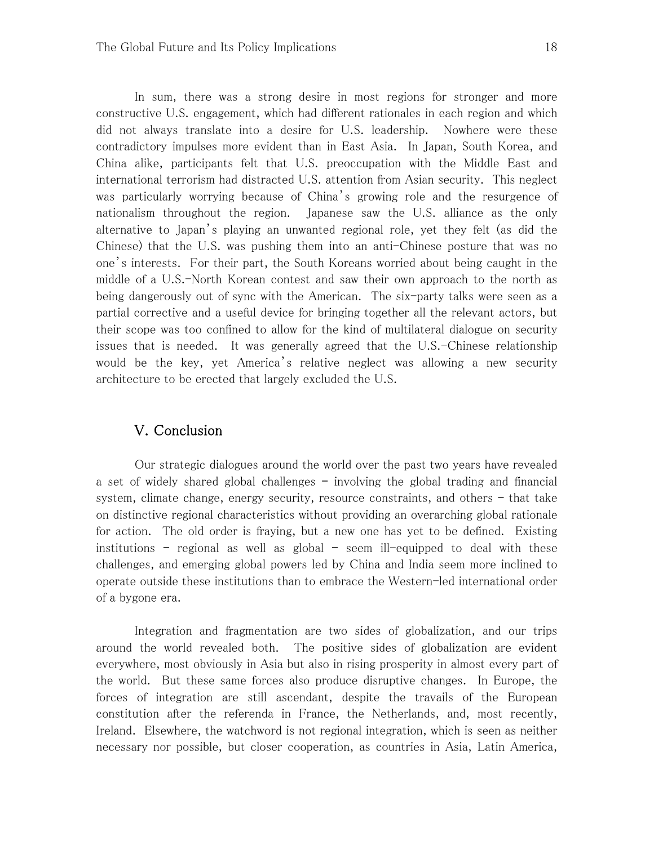In sum, there was a strong desire in most regions for stronger and more constructive U.S. engagement, which had different rationales in each region and which did not always translate into a desire for U.S. leadership. Nowhere were these contradictory impulses more evident than in East Asia. In Japan, South Korea, and China alike, participants felt that U.S. preoccupation with the Middle East and international terrorism had distracted U.S. attention from Asian security. This neglect was particularly worrying because of China's growing role and the resurgence of nationalism throughout the region. Japanese saw the U.S. alliance as the only alternative to Japan's playing an unwanted regional role, yet they felt (as did the Chinese) that the U.S. was pushing them into an anti-Chinese posture that was no one's interests. For their part, the South Koreans worried about being caught in the middle of a U.S.-North Korean contest and saw their own approach to the north as being dangerously out of sync with the American. The six-party talks were seen as a partial corrective and a useful device for bringing together all the relevant actors, but their scope was too confined to allow for the kind of multilateral dialogue on security issues that is needed. It was generally agreed that the U.S.-Chinese relationship would be the key, yet America's relative neglect was allowing a new security architecture to be erected that largely excluded the U.S.

## V. Conclusion

Our strategic dialogues around the world over the past two years have revealed a set of widely shared global challenges – involving the global trading and financial system, climate change, energy security, resource constraints, and others – that take on distinctive regional characteristics without providing an overarching global rationale for action. The old order is fraying, but a new one has yet to be defined. Existing institutions – regional as well as global – seem ill-equipped to deal with these challenges, and emerging global powers led by China and India seem more inclined to operate outside these institutions than to embrace the Western-led international order of a bygone era.

Integration and fragmentation are two sides of globalization, and our trips around the world revealed both. The positive sides of globalization are evident everywhere, most obviously in Asia but also in rising prosperity in almost every part of the world. But these same forces also produce disruptive changes. In Europe, the forces of integration are still ascendant, despite the travails of the European constitution after the referenda in France, the Netherlands, and, most recently, Ireland. Elsewhere, the watchword is not regional integration, which is seen as neither necessary nor possible, but closer cooperation, as countries in Asia, Latin America,